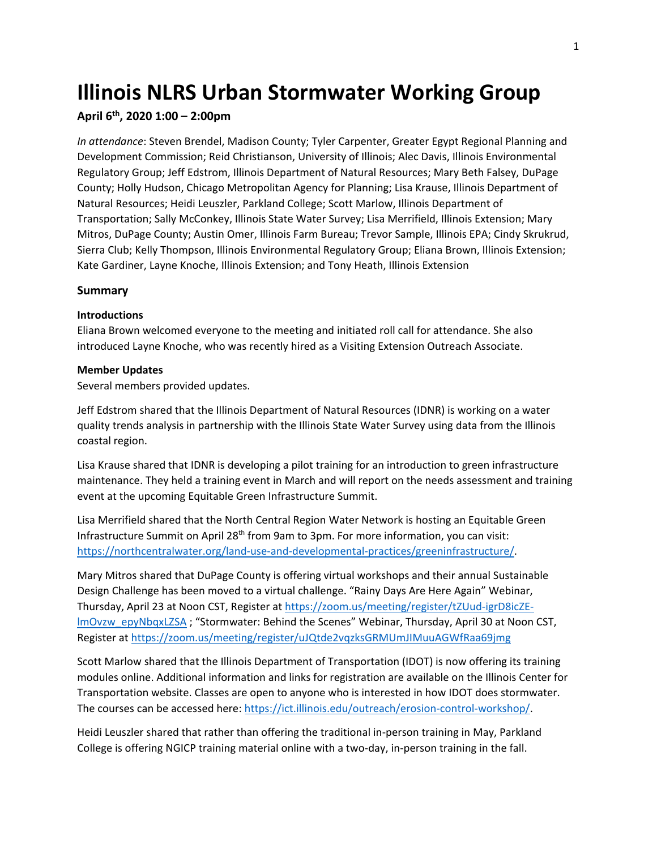# **Illinois NLRS Urban Stormwater Working Group**

### **April 6th, 2020 1:00 – 2:00pm**

*In attendance*: Steven Brendel, Madison County; Tyler Carpenter, Greater Egypt Regional Planning and Development Commission; Reid Christianson, University of Illinois; Alec Davis, Illinois Environmental Regulatory Group; Jeff Edstrom, Illinois Department of Natural Resources; Mary Beth Falsey, DuPage County; Holly Hudson, Chicago Metropolitan Agency for Planning; Lisa Krause, Illinois Department of Natural Resources; Heidi Leuszler, Parkland College; Scott Marlow, Illinois Department of Transportation; Sally McConkey, Illinois State Water Survey; Lisa Merrifield, Illinois Extension; Mary Mitros, DuPage County; Austin Omer, Illinois Farm Bureau; Trevor Sample, Illinois EPA; Cindy Skrukrud, Sierra Club; Kelly Thompson, Illinois Environmental Regulatory Group; Eliana Brown, Illinois Extension; Kate Gardiner, Layne Knoche, Illinois Extension; and Tony Heath, Illinois Extension

#### **Summary**

#### **Introductions**

Eliana Brown welcomed everyone to the meeting and initiated roll call for attendance. She also introduced Layne Knoche, who was recently hired as a Visiting Extension Outreach Associate.

#### **Member Updates**

Several members provided updates.

Jeff Edstrom shared that the Illinois Department of Natural Resources (IDNR) is working on a water quality trends analysis in partnership with the Illinois State Water Survey using data from the Illinois coastal region.

Lisa Krause shared that IDNR is developing a pilot training for an introduction to green infrastructure maintenance. They held a training event in March and will report on the needs assessment and training event at the upcoming Equitable Green Infrastructure Summit.

Lisa Merrifield shared that the North Central Region Water Network is hosting an Equitable Green Infrastructure Summit on April 28th from 9am to 3pm. For more information, you can visit: [https://northcentralwater.org/land-use-and-developmental-practices/greeninfrastructure/.](https://northcentralwater.org/land-use-and-developmental-practices/greeninfrastructure/)

Mary Mitros shared that DuPage County is offering virtual workshops and their annual Sustainable Design Challenge has been moved to a virtual challenge. "Rainy Days Are Here Again" Webinar, Thursday, April 23 at Noon CST, Register at [https://zoom.us/meeting/register/tZUud-igrD8icZE](https://zoom.us/meeting/register/tZUud-igrD8icZE-lmOvzw_epyNbqxLZSA)[lmOvzw\\_epyNbqxLZSA](https://zoom.us/meeting/register/tZUud-igrD8icZE-lmOvzw_epyNbqxLZSA) ; "Stormwater: Behind the Scenes" Webinar, Thursday, April 30 at Noon CST, Register at<https://zoom.us/meeting/register/uJQtde2vqzksGRMUmJIMuuAGWfRaa69jmg>

Scott Marlow shared that the Illinois Department of Transportation (IDOT) is now offering its training modules online. Additional information and links for registration are available on the Illinois Center for Transportation website. Classes are open to anyone who is interested in how IDOT does stormwater. The courses can be accessed here: [https://ict.illinois.edu/outreach/erosion-control-workshop/.](https://ict.illinois.edu/outreach/erosion-control-workshop/)

Heidi Leuszler shared that rather than offering the traditional in-person training in May, Parkland College is offering NGICP training material online with a two-day, in-person training in the fall.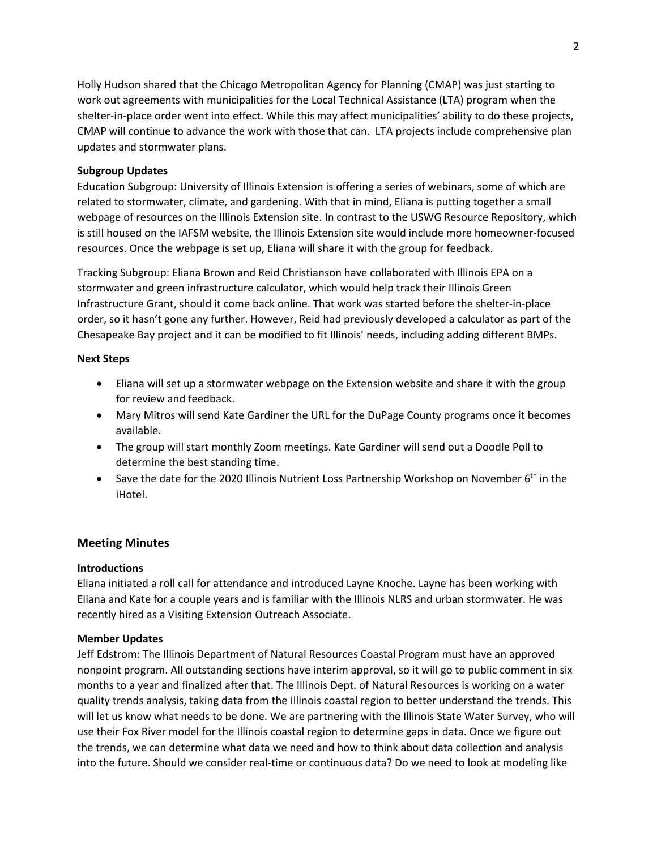Holly Hudson shared that the Chicago Metropolitan Agency for Planning (CMAP) was just starting to work out agreements with municipalities for the Local Technical Assistance (LTA) program when the shelter-in-place order went into effect. While this may affect municipalities' ability to do these projects, CMAP will continue to advance the work with those that can. LTA projects include comprehensive plan updates and stormwater plans.

## **Subgroup Updates**

Education Subgroup: University of Illinois Extension is offering a series of webinars, some of which are related to stormwater, climate, and gardening. With that in mind, Eliana is putting together a small webpage of resources on the Illinois Extension site. In contrast to the USWG Resource Repository, which is still housed on the IAFSM website, the Illinois Extension site would include more homeowner-focused resources. Once the webpage is set up, Eliana will share it with the group for feedback.

Tracking Subgroup: Eliana Brown and Reid Christianson have collaborated with Illinois EPA on a stormwater and green infrastructure calculator, which would help track their Illinois Green Infrastructure Grant, should it come back online. That work was started before the shelter-in-place order, so it hasn't gone any further. However, Reid had previously developed a calculator as part of the Chesapeake Bay project and it can be modified to fit Illinois' needs, including adding different BMPs.

## **Next Steps**

- Eliana will set up a stormwater webpage on the Extension website and share it with the group for review and feedback.
- Mary Mitros will send Kate Gardiner the URL for the DuPage County programs once it becomes available.
- The group will start monthly Zoom meetings. Kate Gardiner will send out a Doodle Poll to determine the best standing time.
- Save the date for the 2020 Illinois Nutrient Loss Partnership Workshop on November  $6<sup>th</sup>$  in the iHotel.

# **Meeting Minutes**

# **Introductions**

Eliana initiated a roll call for attendance and introduced Layne Knoche. Layne has been working with Eliana and Kate for a couple years and is familiar with the Illinois NLRS and urban stormwater. He was recently hired as a Visiting Extension Outreach Associate.

## **Member Updates**

Jeff Edstrom: The Illinois Department of Natural Resources Coastal Program must have an approved nonpoint program. All outstanding sections have interim approval, so it will go to public comment in six months to a year and finalized after that. The Illinois Dept. of Natural Resources is working on a water quality trends analysis, taking data from the Illinois coastal region to better understand the trends. This will let us know what needs to be done. We are partnering with the Illinois State Water Survey, who will use their Fox River model for the Illinois coastal region to determine gaps in data. Once we figure out the trends, we can determine what data we need and how to think about data collection and analysis into the future. Should we consider real-time or continuous data? Do we need to look at modeling like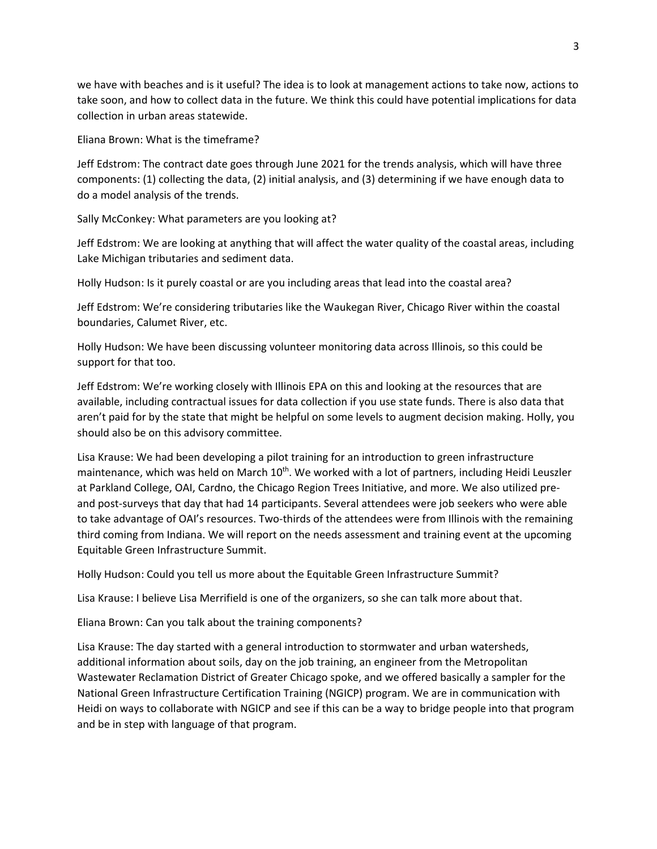we have with beaches and is it useful? The idea is to look at management actions to take now, actions to take soon, and how to collect data in the future. We think this could have potential implications for data collection in urban areas statewide.

Eliana Brown: What is the timeframe?

Jeff Edstrom: The contract date goes through June 2021 for the trends analysis, which will have three components: (1) collecting the data, (2) initial analysis, and (3) determining if we have enough data to do a model analysis of the trends.

Sally McConkey: What parameters are you looking at?

Jeff Edstrom: We are looking at anything that will affect the water quality of the coastal areas, including Lake Michigan tributaries and sediment data.

Holly Hudson: Is it purely coastal or are you including areas that lead into the coastal area?

Jeff Edstrom: We're considering tributaries like the Waukegan River, Chicago River within the coastal boundaries, Calumet River, etc.

Holly Hudson: We have been discussing volunteer monitoring data across Illinois, so this could be support for that too.

Jeff Edstrom: We're working closely with Illinois EPA on this and looking at the resources that are available, including contractual issues for data collection if you use state funds. There is also data that aren't paid for by the state that might be helpful on some levels to augment decision making. Holly, you should also be on this advisory committee.

Lisa Krause: We had been developing a pilot training for an introduction to green infrastructure maintenance, which was held on March  $10^{th}$ . We worked with a lot of partners, including Heidi Leuszler at Parkland College, OAI, Cardno, the Chicago Region Trees Initiative, and more. We also utilized preand post-surveys that day that had 14 participants. Several attendees were job seekers who were able to take advantage of OAI's resources. Two-thirds of the attendees were from Illinois with the remaining third coming from Indiana. We will report on the needs assessment and training event at the upcoming Equitable Green Infrastructure Summit.

Holly Hudson: Could you tell us more about the Equitable Green Infrastructure Summit?

Lisa Krause: I believe Lisa Merrifield is one of the organizers, so she can talk more about that.

Eliana Brown: Can you talk about the training components?

Lisa Krause: The day started with a general introduction to stormwater and urban watersheds, additional information about soils, day on the job training, an engineer from the Metropolitan Wastewater Reclamation District of Greater Chicago spoke, and we offered basically a sampler for the National Green Infrastructure Certification Training (NGICP) program. We are in communication with Heidi on ways to collaborate with NGICP and see if this can be a way to bridge people into that program and be in step with language of that program.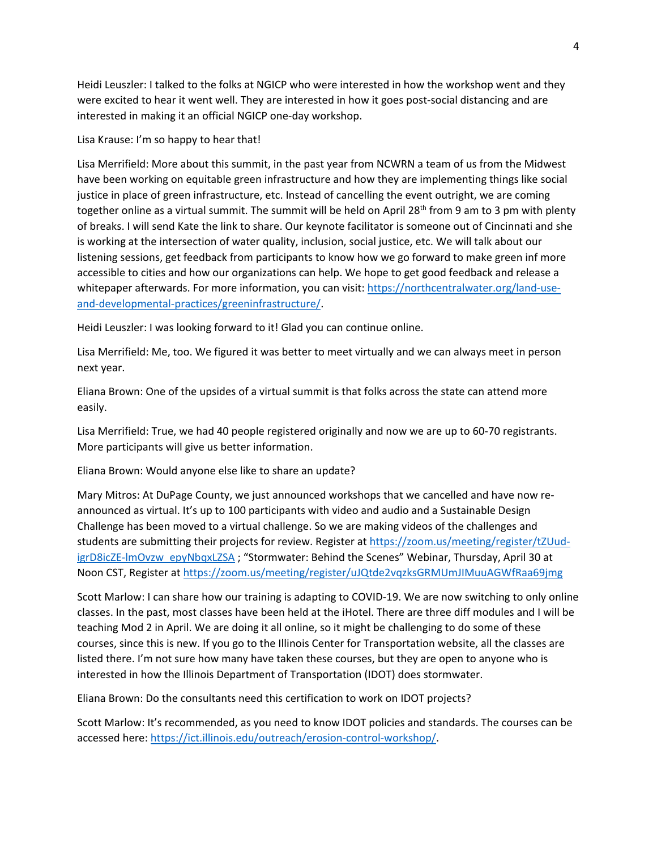Heidi Leuszler: I talked to the folks at NGICP who were interested in how the workshop went and they were excited to hear it went well. They are interested in how it goes post-social distancing and are interested in making it an official NGICP one-day workshop.

Lisa Krause: I'm so happy to hear that!

Lisa Merrifield: More about this summit, in the past year from NCWRN a team of us from the Midwest have been working on equitable green infrastructure and how they are implementing things like social justice in place of green infrastructure, etc. Instead of cancelling the event outright, we are coming together online as a virtual summit. The summit will be held on April 28<sup>th</sup> from 9 am to 3 pm with plenty of breaks. I will send Kate the link to share. Our keynote facilitator is someone out of Cincinnati and she is working at the intersection of water quality, inclusion, social justice, etc. We will talk about our listening sessions, get feedback from participants to know how we go forward to make green inf more accessible to cities and how our organizations can help. We hope to get good feedback and release a whitepaper afterwards. For more information, you can visit: [https://northcentralwater.org/land-use](https://northcentralwater.org/land-use-and-developmental-practices/greeninfrastructure/)[and-developmental-practices/greeninfrastructure/.](https://northcentralwater.org/land-use-and-developmental-practices/greeninfrastructure/)

Heidi Leuszler: I was looking forward to it! Glad you can continue online.

Lisa Merrifield: Me, too. We figured it was better to meet virtually and we can always meet in person next year.

Eliana Brown: One of the upsides of a virtual summit is that folks across the state can attend more easily.

Lisa Merrifield: True, we had 40 people registered originally and now we are up to 60-70 registrants. More participants will give us better information.

Eliana Brown: Would anyone else like to share an update?

Mary Mitros: At DuPage County, we just announced workshops that we cancelled and have now reannounced as virtual. It's up to 100 participants with video and audio and a Sustainable Design Challenge has been moved to a virtual challenge. So we are making videos of the challenges and students are submitting their projects for review. Register a[t https://zoom.us/meeting/register/tZUud](https://zoom.us/meeting/register/tZUud-igrD8icZE-lmOvzw_epyNbqxLZSA)[igrD8icZE-lmOvzw\\_epyNbqxLZSA](https://zoom.us/meeting/register/tZUud-igrD8icZE-lmOvzw_epyNbqxLZSA) ; "Stormwater: Behind the Scenes" Webinar, Thursday, April 30 at Noon CST, Register at<https://zoom.us/meeting/register/uJQtde2vqzksGRMUmJIMuuAGWfRaa69jmg>

Scott Marlow: I can share how our training is adapting to COVID-19. We are now switching to only online classes. In the past, most classes have been held at the iHotel. There are three diff modules and I will be teaching Mod 2 in April. We are doing it all online, so it might be challenging to do some of these courses, since this is new. If you go to the Illinois Center for Transportation website, all the classes are listed there. I'm not sure how many have taken these courses, but they are open to anyone who is interested in how the Illinois Department of Transportation (IDOT) does stormwater.

Eliana Brown: Do the consultants need this certification to work on IDOT projects?

Scott Marlow: It's recommended, as you need to know IDOT policies and standards. The courses can be accessed here: [https://ict.illinois.edu/outreach/erosion-control-workshop/.](https://ict.illinois.edu/outreach/erosion-control-workshop/)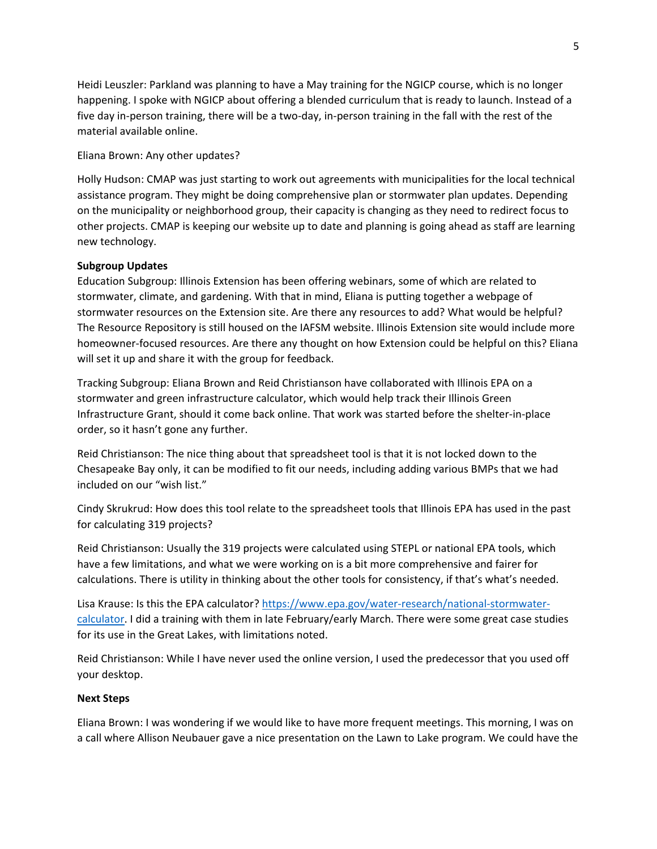Heidi Leuszler: Parkland was planning to have a May training for the NGICP course, which is no longer happening. I spoke with NGICP about offering a blended curriculum that is ready to launch. Instead of a five day in-person training, there will be a two-day, in-person training in the fall with the rest of the material available online.

Eliana Brown: Any other updates?

Holly Hudson: CMAP was just starting to work out agreements with municipalities for the local technical assistance program. They might be doing comprehensive plan or stormwater plan updates. Depending on the municipality or neighborhood group, their capacity is changing as they need to redirect focus to other projects. CMAP is keeping our website up to date and planning is going ahead as staff are learning new technology.

### **Subgroup Updates**

Education Subgroup: Illinois Extension has been offering webinars, some of which are related to stormwater, climate, and gardening. With that in mind, Eliana is putting together a webpage of stormwater resources on the Extension site. Are there any resources to add? What would be helpful? The Resource Repository is still housed on the IAFSM website. Illinois Extension site would include more homeowner-focused resources. Are there any thought on how Extension could be helpful on this? Eliana will set it up and share it with the group for feedback.

Tracking Subgroup: Eliana Brown and Reid Christianson have collaborated with Illinois EPA on a stormwater and green infrastructure calculator, which would help track their Illinois Green Infrastructure Grant, should it come back online. That work was started before the shelter-in-place order, so it hasn't gone any further.

Reid Christianson: The nice thing about that spreadsheet tool is that it is not locked down to the Chesapeake Bay only, it can be modified to fit our needs, including adding various BMPs that we had included on our "wish list."

Cindy Skrukrud: How does this tool relate to the spreadsheet tools that Illinois EPA has used in the past for calculating 319 projects?

Reid Christianson: Usually the 319 projects were calculated using STEPL or national EPA tools, which have a few limitations, and what we were working on is a bit more comprehensive and fairer for calculations. There is utility in thinking about the other tools for consistency, if that's what's needed.

Lisa Krause: Is this the EPA calculator? [https://www.epa.gov/water-research/national-stormwater](https://www.epa.gov/water-research/national-stormwater-calculator)[calculator.](https://www.epa.gov/water-research/national-stormwater-calculator) I did a training with them in late February/early March. There were some great case studies for its use in the Great Lakes, with limitations noted.

Reid Christianson: While I have never used the online version, I used the predecessor that you used off your desktop.

#### **Next Steps**

Eliana Brown: I was wondering if we would like to have more frequent meetings. This morning, I was on a call where Allison Neubauer gave a nice presentation on the Lawn to Lake program. We could have the